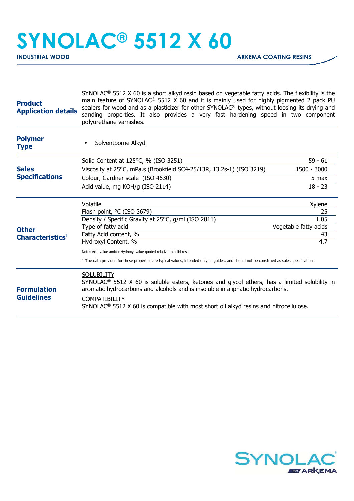## **SYNOLAC® 5512 X 60**

| <b>Product</b><br><b>Application details</b>                                                | $SYNOLAC®$ 5512 X 60 is a short alkyd resin based on vegetable fatty acids. The flexibility is the<br>main feature of SYNOLAC <sup>®</sup> 5512 X 60 and it is mainly used for highly pigmented 2 pack PU<br>sealers for wood and as a plasticizer for other SYNOLAC <sup>®</sup> types, without loosing its drying and<br>sanding properties. It also provides a very fast hardening speed in two component<br>polyurethane varnishes. |                       |  |
|---------------------------------------------------------------------------------------------|-----------------------------------------------------------------------------------------------------------------------------------------------------------------------------------------------------------------------------------------------------------------------------------------------------------------------------------------------------------------------------------------------------------------------------------------|-----------------------|--|
| <b>Polymer</b><br><b>Type</b>                                                               | Solventborne Alkyd                                                                                                                                                                                                                                                                                                                                                                                                                      |                       |  |
|                                                                                             | Solid Content at 125°C, % (ISO 3251)                                                                                                                                                                                                                                                                                                                                                                                                    | $59 - 61$             |  |
| <b>Sales</b><br><b>Specifications</b><br><b>Other</b><br><b>Characteristics<sup>1</sup></b> | Viscosity at 25°C, mPa.s (Brookfield SC4-25/13R, 13.2s-1) (ISO 3219)                                                                                                                                                                                                                                                                                                                                                                    | 1500 - 3000           |  |
|                                                                                             | Colour, Gardner scale (ISO 4630)                                                                                                                                                                                                                                                                                                                                                                                                        | 5 max                 |  |
|                                                                                             | Acid value, mg KOH/g (ISO 2114)                                                                                                                                                                                                                                                                                                                                                                                                         | $18 - 23$             |  |
|                                                                                             | Volatile                                                                                                                                                                                                                                                                                                                                                                                                                                | Xylene                |  |
|                                                                                             | Flash point, °C (ISO 3679)                                                                                                                                                                                                                                                                                                                                                                                                              | 25                    |  |
|                                                                                             | Density / Specific Gravity at 25°C, g/ml (ISO 2811)                                                                                                                                                                                                                                                                                                                                                                                     | 1.05                  |  |
|                                                                                             | Type of fatty acid                                                                                                                                                                                                                                                                                                                                                                                                                      | Vegetable fatty acids |  |
|                                                                                             | Fatty Acid content, %                                                                                                                                                                                                                                                                                                                                                                                                                   | 43<br>4.7             |  |
|                                                                                             | Hydroxyl Content, %                                                                                                                                                                                                                                                                                                                                                                                                                     |                       |  |
|                                                                                             | Note: Acid value and/or Hydroxyl value quoted relative to solid resin                                                                                                                                                                                                                                                                                                                                                                   |                       |  |
|                                                                                             | 1 The data provided for these properties are typical values, intended only as guides, and should not be construed as sales specifications                                                                                                                                                                                                                                                                                               |                       |  |
| <b>Formulation</b><br><b>Guidelines</b>                                                     | <b>SOLUBILITY</b><br>SYNOLAC <sup>®</sup> 5512 X 60 is soluble esters, ketones and glycol ethers, has a limited solubility in<br>aromatic hydrocarbons and alcohols and is insoluble in aliphatic hydrocarbons.<br><b>COMPATIBILITY</b>                                                                                                                                                                                                 |                       |  |
|                                                                                             | $SYNOLAC®$ 5512 X 60 is compatible with most short oil alkyd resins and nitrocellulose.                                                                                                                                                                                                                                                                                                                                                 |                       |  |